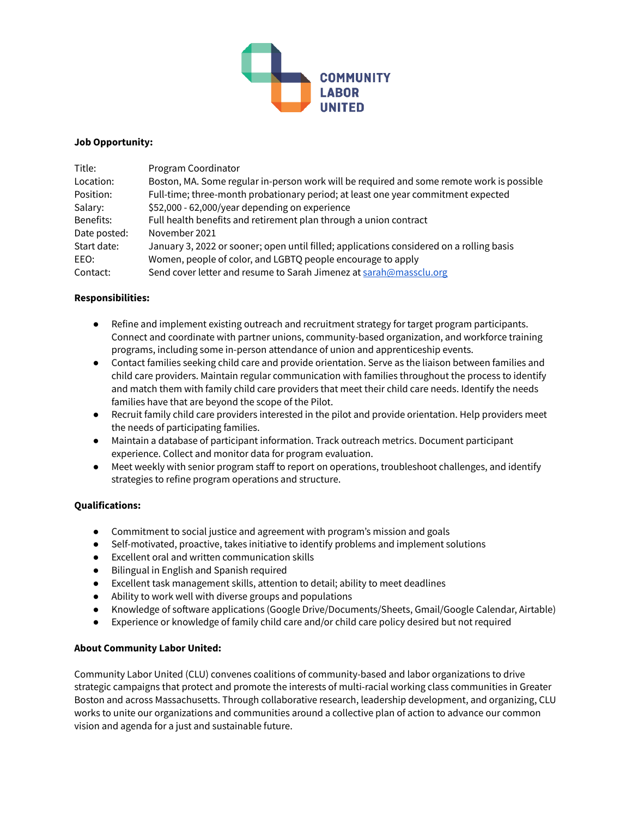

### **Job Opportunity:**

| Title:       | Program Coordinator                                                                       |
|--------------|-------------------------------------------------------------------------------------------|
| Location:    | Boston, MA. Some regular in-person work will be required and some remote work is possible |
| Position:    | Full-time; three-month probationary period; at least one year commitment expected         |
| Salary:      | \$52,000 - 62,000/year depending on experience                                            |
| Benefits:    | Full health benefits and retirement plan through a union contract                         |
| Date posted: | November 2021                                                                             |
| Start date:  | January 3, 2022 or sooner; open until filled; applications considered on a rolling basis  |
| EEO:         | Women, people of color, and LGBTQ people encourage to apply                               |
| Contact:     | Send cover letter and resume to Sarah Jimenez at sarah@massclu.org                        |

# **Responsibilities:**

- Refine and implement existing outreach and recruitment strategy for target program participants. Connect and coordinate with partner unions, community-based organization, and workforce training programs, including some in-person attendance of union and apprenticeship events.
- Contact families seeking child care and provide orientation. Serve as the liaison between families and child care providers. Maintain regular communication with families throughout the process to identify and match them with family child care providers that meet their child care needs. Identify the needs families have that are beyond the scope of the Pilot.
- Recruit family child care providers interested in the pilot and provide orientation. Help providers meet the needs of participating families.
- Maintain a database of participant information. Track outreach metrics. Document participant experience. Collect and monitor data for program evaluation.
- Meet weekly with senior program staff to report on operations, troubleshoot challenges, and identify strategies to refine program operations and structure.

### **Qualifications:**

- Commitment to social justice and agreement with program's mission and goals
- Self-motivated, proactive, takes initiative to identify problems and implement solutions
- Excellent oral and written communication skills
- Bilingual in English and Spanish required
- Excellent task management skills, attention to detail; ability to meet deadlines
- Ability to work well with diverse groups and populations
- Knowledge of software applications (Google Drive/Documents/Sheets, Gmail/Google Calendar, Airtable)
- Experience or knowledge of family child care and/or child care policy desired but not required

# **About Community Labor United:**

Community Labor United (CLU) convenes coalitions of community-based and labor organizations to drive strategic campaigns that protect and promote the interests of multi-racial working class communities in Greater Boston and across Massachusetts. Through collaborative research, leadership development, and organizing, CLU works to unite our organizations and communities around a collective plan of action to advance our common vision and agenda for a just and sustainable future.